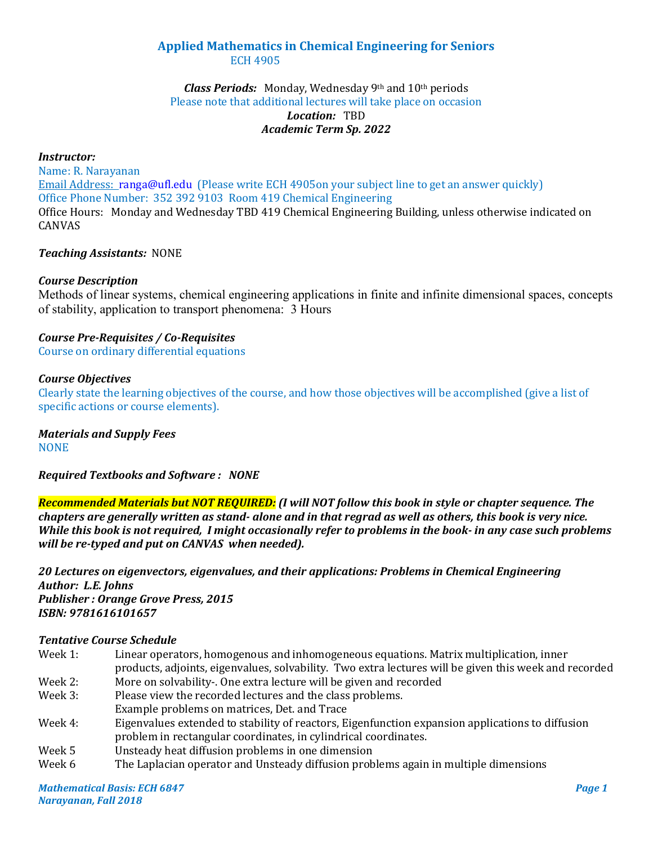# **Applied Mathematics in Chemical Engineering for Seniors** ECH 4905

## *Class Periods:* Monday, Wednesday 9th and 10th periods Please note that additional lectures will take place on occasion *Location:* TBD *Academic Term Sp. 2022*

#### *Instructor:*

Name: R. Narayanan Email Address: [ranga@ufl.edu](mailto:ranga@ufl.edu) (Please write ECH 4905on your subject line to get an answer quickly) Office Phone Number: 352 392 9103 Room 419 Chemical Engineering Office Hours: Monday and Wednesday TBD 419 Chemical Engineering Building, unless otherwise indicated on CANVAS

## *Teaching Assistants:* NONE

## *Course Description*

Methods of linear systems, chemical engineering applications in finite and infinite dimensional spaces, concepts of stability, application to transport phenomena: 3 Hours

# *Course Pre-Requisites / Co-Requisites*

Course on ordinary differential equations

#### *Course Objectives*

Clearly state the learning objectives of the course, and how those objectives will be accomplished (give a list of specific actions or course elements).

*Materials and Supply Fees* **NONE** 

*Required Textbooks and Software : NONE*

*Recommended Materials but NOT REQUIRED: (I will NOT follow this book in style or chapter sequence. The chapters are generally written as stand- alone and in that regrad as well as others, this book is very nice. While this book is not required, I might occasionally refer to problems in the book- in any case such problems will be re-typed and put on CANVAS when needed).*

*20 Lectures on eigenvectors, eigenvalues, and their applications: Problems in Chemical Engineering Author: L.E. Johns Publisher : Orange Grove Press, 2015 ISBN: 9781616101657*

#### *Tentative Course Schedule*

| Week 1:                    | Linear operators, homogenous and inhomogeneous equations. Matrix multiplication, inner                |  |
|----------------------------|-------------------------------------------------------------------------------------------------------|--|
|                            | products, adjoints, eigenvalues, solvability. Two extra lectures will be given this week and recorded |  |
| $M_{\odot}$ alz $\Omega$ . | More an estuphility. One extra lecture will be given and recorded                                     |  |

- Week 2: More on solvability-. One extra lecture will be given and recorded Week 3: Please view the recorded lectures and the class problems. Please view the recorded lectures and the class problems. Example problems on matrices, Det. and Trace
- Week 4: Eigenvalues extended to stability of reactors, Eigenfunction expansion applications to diffusion problem in rectangular coordinates, in cylindrical coordinates.
- Week 5 Unsteady heat diffusion problems in one dimension<br>Week 6 The Laplacian operator and Unsteady diffusion prob
- The Laplacian operator and Unsteady diffusion problems again in multiple dimensions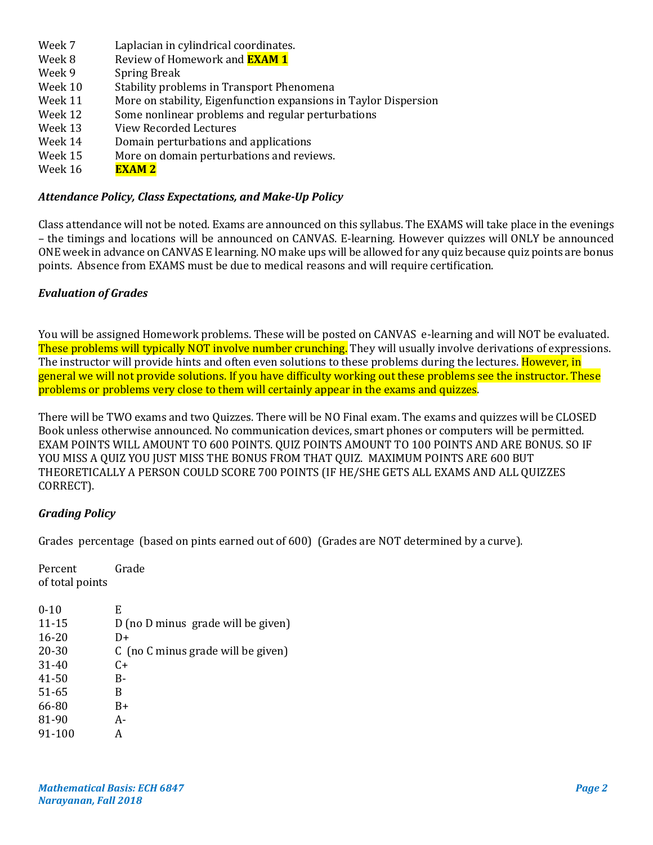- Week 7 Laplacian in cylindrical coordinates.<br>Week 8 Review of Homework and **EXAM 1**
- Week 8 Review of Homework and <mark>EXAM 1</mark><br>Week 9 Spring Break
- Week 9 Spring Break<br>Week 10 Stability prob
- Week 10 Stability problems in Transport Phenomena<br>Week 11 More on stability, Eigenfunction expansions
- Week 11 More on stability, Eigenfunction expansions in Taylor Dispersion<br>Week 12 Some nonlinear problems and regular perturbations
- Week 12 Some nonlinear problems and regular perturbations<br>Week 13 View Recorded Lectures
- Week 13 View Recorded Lectures<br>Week 14 Domain perturbations and
- Week 14 Domain perturbations and applications<br>Week 15 More on domain perturbations and revi
- Week 15 More on domain perturbations and reviews.<br>Week 16  $EXAM 2$
- **EXAM 2**

# *Attendance Policy, Class Expectations, and Make-Up Policy*

Class attendance will not be noted. Exams are announced on this syllabus. The EXAMS will take place in the evenings – the timings and locations will be announced on CANVAS. E-learning. However quizzes will ONLY be announced ONE week in advance on CANVAS E learning. NO make ups will be allowed for any quiz because quiz points are bonus points. Absence from EXAMS must be due to medical reasons and will require certification.

# *Evaluation of Grades*

You will be assigned Homework problems. These will be posted on CANVAS e-learning and will NOT be evaluated. These problems will typically NOT involve number crunching. They will usually involve derivations of expressions. The instructor will provide hints and often even solutions to these problems during the lectures. However, in general we will not provide solutions. If you have difficulty working out these problems see the instructor. These problems or problems very close to them will certainly appear in the exams and quizzes.

There will be TWO exams and two Quizzes. There will be NO Final exam. The exams and quizzes will be CLOSED Book unless otherwise announced. No communication devices, smart phones or computers will be permitted. EXAM POINTS WILL AMOUNT TO 600 POINTS. QUIZ POINTS AMOUNT TO 100 POINTS AND ARE BONUS. SO IF YOU MISS A QUIZ YOU JUST MISS THE BONUS FROM THAT QUIZ. MAXIMUM POINTS ARE 600 BUT THEORETICALLY A PERSON COULD SCORE 700 POINTS (IF HE/SHE GETS ALL EXAMS AND ALL QUIZZES CORRECT).

# *Grading Policy*

Grades percentage (based on pints earned out of 600) (Grades are NOT determined by a curve).

Percent Grade of total points

| $11 - 15$<br>$16 - 20$<br>D+<br>20-30<br>C (no C minus grade will be given) | $0 - 10$  | E                                  |
|-----------------------------------------------------------------------------|-----------|------------------------------------|
|                                                                             |           | D (no D minus grade will be given) |
|                                                                             |           |                                    |
|                                                                             |           |                                    |
|                                                                             | $31 - 40$ | C+                                 |
| $41 - 50$<br>B-                                                             |           |                                    |
| 51-65<br>В                                                                  |           |                                    |
| 66-80<br>B+                                                                 |           |                                    |
| 81-90<br>A-                                                                 |           |                                    |
| 91-100<br>А                                                                 |           |                                    |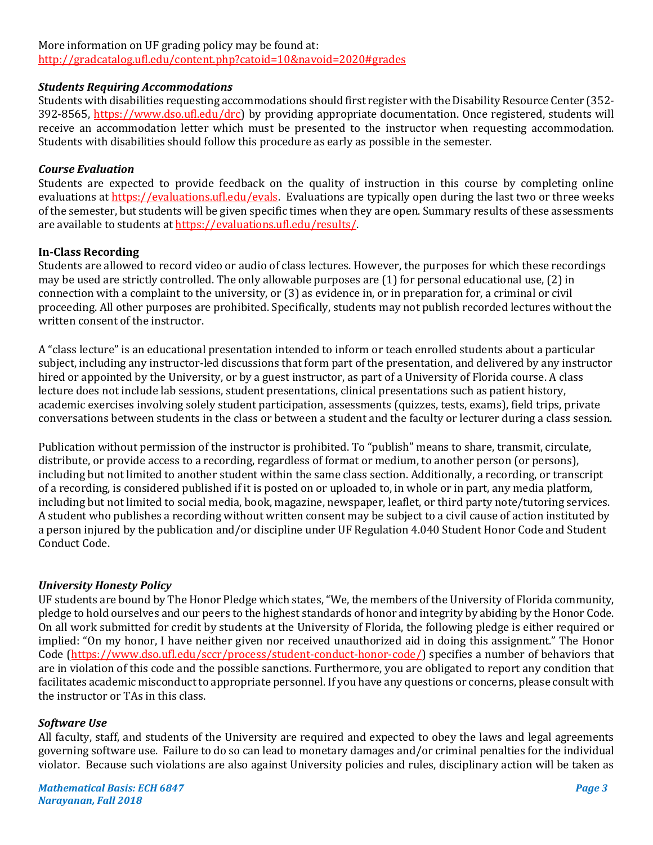# More information on UF grading policy may be found at:

<http://gradcatalog.ufl.edu/content.php?catoid=10&navoid=2020#grades>

## *Students Requiring Accommodations*

Students with disabilities requesting accommodations should first register with the Disability Resource Center (352- 392-8565, https://www.dso.ufl.edu/drc) by providing appropriate documentation. Once registered, students will receive an accommodation letter which must be presented to the instructor when requesting accommodation. Students with disabilities should follow this procedure as early as possible in the semester.

## *Course Evaluation*

Students are expected to provide feedback on the quality of instruction in this course by completing online evaluations at [https://evaluations.ufl.edu/evals.](https://evaluations.ufl.edu/evals) Evaluations are typically open during the last two or three weeks of the semester, but students will be given specific times when they are open. Summary results of these assessments are available to students at [https://evaluations.ufl.edu/results/.](https://evaluations.ufl.edu/results/)

## **In-Class Recording**

Students are allowed to record video or audio of class lectures. However, the purposes for which these recordings may be used are strictly controlled. The only allowable purposes are (1) for personal educational use, (2) in connection with a complaint to the university, or (3) as evidence in, or in preparation for, a criminal or civil proceeding. All other purposes are prohibited. Specifically, students may not publish recorded lectures without the written consent of the instructor.

A "class lecture" is an educational presentation intended to inform or teach enrolled students about a particular subject, including any instructor-led discussions that form part of the presentation, and delivered by any instructor hired or appointed by the University, or by a guest instructor, as part of a University of Florida course. A class lecture does not include lab sessions, student presentations, clinical presentations such as patient history, academic exercises involving solely student participation, assessments (quizzes, tests, exams), field trips, private conversations between students in the class or between a student and the faculty or lecturer during a class session.

Publication without permission of the instructor is prohibited. To "publish" means to share, transmit, circulate, distribute, or provide access to a recording, regardless of format or medium, to another person (or persons), including but not limited to another student within the same class section. Additionally, a recording, or transcript of a recording, is considered published if it is posted on or uploaded to, in whole or in part, any media platform, including but not limited to social media, book, magazine, newspaper, leaflet, or third party note/tutoring services. A student who publishes a recording without written consent may be subject to a civil cause of action instituted by a person injured by the publication and/or discipline under UF Regulation 4.040 Student Honor Code and Student Conduct Code.

## *University Honesty Policy*

UF students are bound by The Honor Pledge which states, "We, the members of the University of Florida community, pledge to hold ourselves and our peers to the highest standards of honor and integrity by abiding by the Honor Code. On all work submitted for credit by students at the University of Florida, the following pledge is either required or implied: "On my honor, I have neither given nor received unauthorized aid in doing this assignment." The Honor Code (https://www.dso.ufl.edu/sccr/process/student-conduct-honor-code/) specifies a number of behaviors that are in violation of this code and the possible sanctions. Furthermore, you are obligated to report any condition that facilitates academic misconduct to appropriate personnel. If you have any questions or concerns, please consult with the instructor or TAs in this class.

#### *Software Use*

All faculty, staff, and students of the University are required and expected to obey the laws and legal agreements governing software use. Failure to do so can lead to monetary damages and/or criminal penalties for the individual violator. Because such violations are also against University policies and rules, disciplinary action will be taken as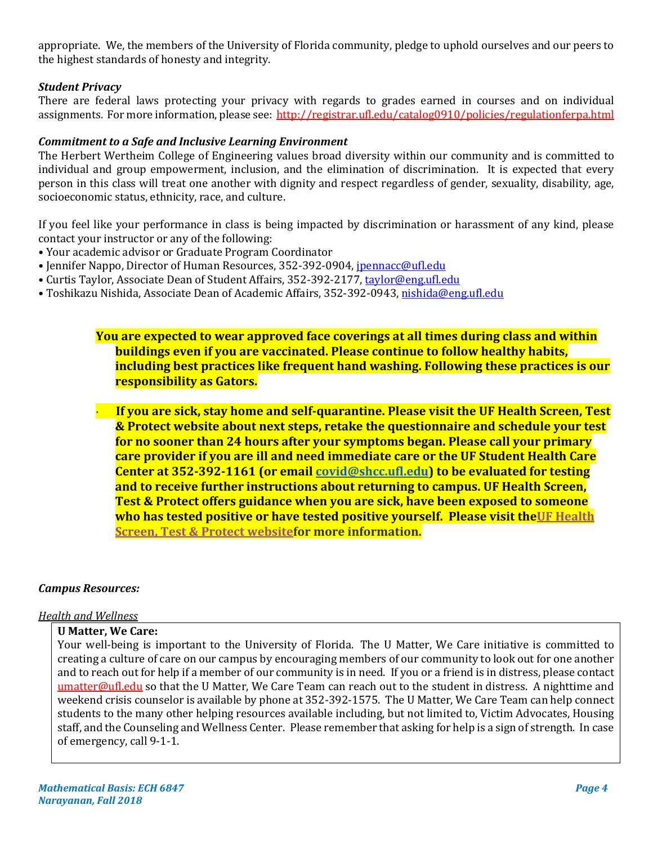appropriate. We, the members of the University of Florida community, pledge to uphold ourselves and our peers to the highest standards of honesty and integrity.

# *Student Privacy*

There are federal laws protecting your privacy with regards to grades earned in courses and on individual assignments. For more information, please see:<http://registrar.ufl.edu/catalog0910/policies/regulationferpa.html>

## *Commitment to a Safe and Inclusive Learning Environment*

The Herbert Wertheim College of Engineering values broad diversity within our community and is committed to individual and group empowerment, inclusion, and the elimination of discrimination. It is expected that every person in this class will treat one another with dignity and respect regardless of gender, sexuality, disability, age, socioeconomic status, ethnicity, race, and culture.

If you feel like your performance in class is being impacted by discrimination or harassment of any kind, please contact your instructor or any of the following:

- Your academic advisor or Graduate Program Coordinator
- Jennifer Nappo, Director of Human Resources, 352-392-0904, [jpennacc@ufl.edu](mailto:jpennacc@ufl.edu)
- Curtis Taylor, Associate Dean of Student Affairs, 352-392-2177[, taylor@eng.ufl.edu](mailto:taylor@eng.ufl.edu)
- Toshikazu Nishida, Associate Dean of Academic Affairs, 352-392-0943[, nishida@eng.ufl.edu](mailto:nishida@eng.ufl.edu)

**You are expected to wear approved face coverings at all times during class and within buildings even if you are vaccinated. Please continue to follow healthy habits, including best practices like frequent hand washing. Following these practices is our responsibility as Gators.**

· **If you are sick, stay home and self-quarantine. Please visit the UF Health Screen, Test & Protect website about next steps, retake the questionnaire and schedule your test for no sooner than 24 hours after your symptoms began. Please call your primary care provider if you are ill and need immediate care or the UF Student Health Care Center at 352-392-1161 (or email [covid@shcc.ufl.edu\)](mailto:covid@shcc.ufl.edu) to be evaluated for testing and to receive further instructions about returning to campus. UF Health Screen, Test & Protect offers guidance when you are sick, have been exposed to someone who has tested positive or have tested positive yourself. Please visit th[eUF Health](https://click.info.gator360.ufl.edu/?qs=8f0d5e01a3f7385148f144e2089093522a358a8d85cb9db73c31675d3c5e5c0d27748d40c212f544822551342f1912ea5b4f2b890d5952e8)  [Screen, Test & Protect websitef](https://click.info.gator360.ufl.edu/?qs=8f0d5e01a3f7385148f144e2089093522a358a8d85cb9db73c31675d3c5e5c0d27748d40c212f544822551342f1912ea5b4f2b890d5952e8)or more information.**

#### *Campus Resources:*

#### *Health and Wellness*

#### **U Matter, We Care:**

Your well-being is important to the University of Florida. The U Matter, We Care initiative is committed to creating a culture of care on our campus by encouraging members of our community to look out for one another and to reach out for help if a member of our community is in need. If you or a friend is in distress, please contact [umatter@ufl.edu](mailto:umatter@ufl.edu) so that the U Matter, We Care Team can reach out to the student in distress. A nighttime and weekend crisis counselor is available by phone at 352-392-1575. The U Matter, We Care Team can help connect students to the many other helping resources available including, but not limited to, Victim Advocates, Housing staff, and the Counseling and Wellness Center. Please remember that asking for help is a sign of strength. In case of emergency, call 9-1-1.